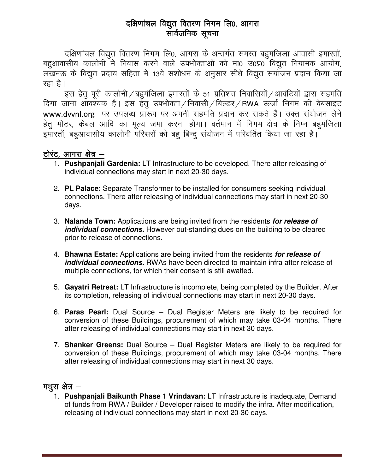### दक्षिणांचल विद्युत वितरण निगम लि0, आगरा सार्वजनिक सुचना

दक्षिणांचल विद्युत वितरण निगम लि0, आगरा के अन्तर्गत समस्त बहुमंजिला आवासी इमारतों, बहुआवासीय कालोनी मे निवास करने वाले उपभोक्ताओं को मा0 उ0प्र0 विद्युत नियामक आयोग, लखनऊ के विद्युत प्रदाय संहिता में 13वें संशोधन के अनुसार सीधे विद्युत संयोजन प्रदान किया जा रहा है।

इस हेतु पूरी कालोनी $\angle$ बहुमंजिला इमारतों के 51 प्रतिशत निवासियों $\angle$ आवंटियों द्वारा सहमति दिया जाना आवश्यक है। इस हेतु उपभोक्ता/निवासी/बिल्डर/RWA ऊर्जा निगम की वेबसाइट www.dvvnl.org पर उपलब्ध प्रारूप पर अपनी सहमति प्रदान कर सकते हैं। उक्त संयोजन लेने हेतु मीटर, केबल आदि का मूल्य जमा करना होगा। वर्तमान में निगम क्षेत्र के निम्न बहुमंजिला इमारतों, बहुआवासीय कालोनी परिसरों को बहु बिन्दु संयोजन में परिवर्तित किया जा रहा है।

#### टोरंट, आगरा क्षेत्र –

- 1. Pushpanjali Gardenia: LT Infrastructure to be developed. There after releasing of individual connections may start in next 20-30 days.
- 2. PL Palace: Separate Transformer to be installed for consumers seeking individual connections. There after releasing of individual connections may start in next 20-30 days.
- 3. Nalanda Town: Applications are being invited from the residents for release of *individual connections.* However out-standing dues on the building to be cleared prior to release of connections.
- 4. Bhawna Estate: Applications are being invited from the residents for release of *individual connections.* RWAs have been directed to maintain infra after release of multiple connections, for which their consent is still awaited.
- 5. Gayatri Retreat: LT Infrastructure is incomplete, being completed by the Builder. After its completion, releasing of individual connections may start in next 20-30 days.
- 6. Paras Pearl: Dual Source Dual Register Meters are likely to be required for conversion of these Buildings, procurement of which may take 03-04 months. There after releasing of individual connections may start in next 30 days.
- 7. Shanker Greens: Dual Source Dual Register Meters are likely to be required for conversion of these Buildings, procurement of which may take 03-04 months. There after releasing of individual connections may start in next 30 days.

#### मथुरा क्षेत्र $-$

1. Pushpanjali Baikunth Phase 1 Vrindavan: LT Infrastructure is inadequate, Demand of funds from RWA / Builder / Developer raised to modify the infra. After modification, releasing of individual connections may start in next 20-30 days.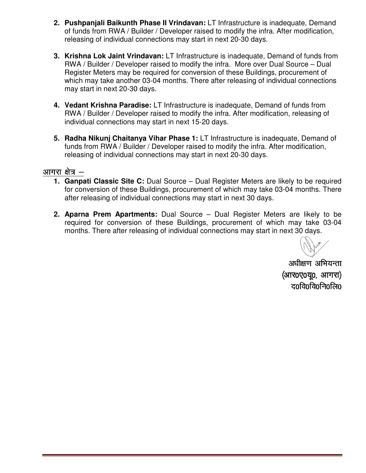- 2. Pushpanjali Baikunth Phase II Vrindavan: LT Infrastructure is inadequate, Demand of funds from RWA / Builder / Developer raised to modify the infra. releasing of individual connections may start in next 20-30 days.
- **3. Krishna Lok Jaint Vrindavan:** LT Infrastructure is inadequate, Demand of funds from RWA / Builder / Developer raised to modify the infra. More over Dual Source – Dual Register Meters may be required for conversion of these Buildings, procurement of which may take another 03-04 months. There after releasing of individual connections may start in next 20-30 days. 30 days./ Developer raised to modify the infra. After modification,<br>ctions may start in next 20-30 days.<br>
In: LT Infrastructure is inadequate, Demand of funds from<br>
ised to modify the infra. More over Dual Source – Dual<br>
iired for
- **4. Vedant Krishna Paradise: Krishna Paradise:** LT Infrastructure is inadequate, Demand of funds from which may take another 03-04 months. There after releasing of individual connectior<br>may start in next 20-30 days.<br>**Vedant Krishna Paradise:** LT Infrastructure is inadequate, Demand of funds from<br>RWA / Builder / Developer r individual connections may start in next 15-20 days.
- **5. Radha Nikunj Chaitanya Vihar Phase 1:** LT Infrastructure is inadequate, Demand of funds from RWA / Builder / Developer raised to modify the infra. After modification, releasing of individual connections may start in next 20-30 days.

#### आगरा क्षेत्र $-$

- **1. Ganpati Classic Site C:** Dual Source Dual Register Meters are likely to be required **Ganpati Classic Site C:** Dual Source – Dual Register Meters are likely to be required<br>for conversion of these Buildings, procurement of which may take 03-04 months. There for conversion of these Buildings, procurement of which may take<br>after releasing of individual connections may start in next 30 days.
- **2. Aparna Prem Apartments:** Dual Source Dual Register Meters are likely to be **Aparna Prem Apartments:** Dual Source – Dual Register Meters are likely to be<br>required for conversion of these Buildings, procurement of which may take 03-04 months. There after releasing of individual connections may start in next 30 days.

अधीक्षण अभियन्ता (आर0ए0य0, आगरा)  $\overline{a}0\overline{a}0\overline{a}0\overline{a}0$   $\overline{a}0\overline{b}$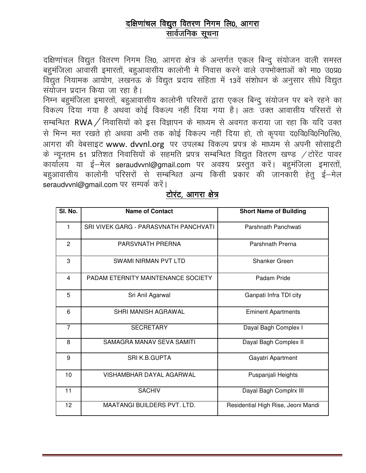### दक्षिणांचल विद्युत वितरण निगम लि0, आगरा सार्वजनिक सूचना

दक्षिणांचल विद्युत वितरण निगम लि0, आगरा क्षेत्र के अन्तर्गत एकल बिन्दु संयोजन वाली समस्त बहुमंजिला आवासी इमारतों, बहुआवासीय कालोनी मे निवास करने वाले उपमोक्ताओं को मा0 उ0प्र0 विद्युत नियामक आयोग, लखनऊ के विद्युत प्रदाय संहिता में 13वें संशोधन के अनुसार सीधे विद्युत संयोजन प्रदान किया जा रहा है।

निम्न बहुमंजिला इमारतों, बहुआवासीय कालोनी परिसरों द्वारा एकल बिन्दु संयोजन पर बने रहने का विकल्प दिया गया है अथवा कोई विकल्प नहीं दिया गया है। अतः उक्त आवासीय परिसरों से सम्बन्धित RWA / निवासियों को इस विज्ञापन के माध्यम से अवगत कराया जा रहा कि यदि उक्त से भिन्न मत रखते हो अथवा अभी तक कोई विकल्प नहीं दिया हो, तो कृपया द0वि0वि0नि0लि0, आगरा की वेबसाइट www. dvvnl.org पर उपलब्ध विकल्प प्रपत्र के माध्यम से अपनी सोसाइटी के न्यूनतम 51 प्रतिशत निवासियों के सहमति प्रपत्र सम्बन्धित विद्युत वितरण खण्ड / टोरेंट पावर कार्यालय या ई—मेल seraudvvnl@gmail.com पर अवश्य प्रस्तुत करें। बहमंजिला इमारतों, बहुआवासीय कालोनी परिसरों से सम्बन्धित अन्य किसी प्रकार की जानकारी हेतु ई—मेल seraudvvnl@amail.com पर सम्पर्क करें।

| SI. No.        | <b>Name of Contact</b>                | <b>Short Name of Building</b>      |
|----------------|---------------------------------------|------------------------------------|
| 1              | SRI VIVEK GARG - PARASVNATH PANCHVATI | Parshnath Panchwati                |
| $\overline{2}$ | PARSVNATH PRERNA                      | Parshnath Prerna                   |
| 3              | <b>SWAMI NIRMAN PVT LTD</b>           | Shanker Green                      |
| 4              | PADAM ETERNITY MAINTENANCE SOCIETY    | Padam Pride                        |
| 5              | Sri Anil Agarwal                      | Ganpati Infra TDI city             |
| 6              | SHRI MANISH AGRAWAL                   | <b>Eminent Apartments</b>          |
| $\overline{7}$ | <b>SECRETARY</b>                      | Dayal Bagh Complex I               |
| 8              | SAMAGRA MANAV SEVA SAMITI             | Dayal Bagh Complex II              |
| 9              | SRI K.B.GUPTA                         | Gayatri Apartment                  |
| 10             | VISHAMBHAR DAYAL AGARWAL              | Puspanjali Heights                 |
| 11             | <b>SACHIV</b>                         | Dayal Bagh Complrx III             |
| 12             | <b>MAATANGI BUILDERS PVT. LTD.</b>    | Residential High Rise, Jeoni Mandi |

#### टोरंट, आगरा क्षेत्र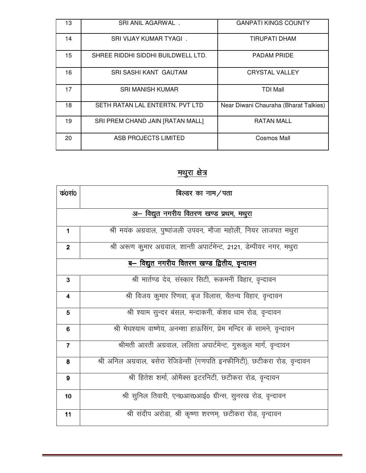| IЗ | SRI ANIL AGARWAL.                  | <b>GANPATI KINGS COUNTY</b>           |
|----|------------------------------------|---------------------------------------|
| 14 | SRI VIJAY KUMAR TYAGI.             | TIRUPATI DHAM                         |
| 15 | SHREE RIDDHI SIDDHI BUILDWELL LTD. | <b>PADAM PRIDE</b>                    |
| 16 | SRI SASHI KANT GAUTAM              | <b>CRYSTAL VALLEY</b>                 |
| 17 | <b>SRI MANISH KUMAR</b>            | <b>TDI Mall</b>                       |
| 18 | SETH RATAN LAL ENTERTN. PVT LTD    | Near Diwani Chauraha (Bharat Talkies) |
| 19 | SRI PREM CHAND JAIN [RATAN MALL]   | <b>RATAN MALL</b>                     |
| 20 | ASB PROJECTS LIMITED               | Cosmos Mall                           |

# <u>मथुरा क्षेत्र</u>

| कं०सं०                                        | बिल्डर का नाम/पता                                                          |  |
|-----------------------------------------------|----------------------------------------------------------------------------|--|
| अ– विद्युत नगरीय वितरण खण्ड प्रथम, मथुरा      |                                                                            |  |
| $\mathbf 1$                                   | श्री मयंक अग्रवाल, पुष्पांजली उपवन, मौजा महोली, नियर लाजपत मथुरा           |  |
| $\overline{\mathbf{2}}$                       | श्री अरूण कुमार अग्रवाल, शान्ती अपार्टमेन्ट, 2121, डेम्पीयर नगर, मथुरा     |  |
| ब– विद्युत नगरीय वितरण खण्ड द्वितीय, वृन्दावन |                                                                            |  |
| $\mathbf{3}$                                  | श्री मार्तण्ड देव, संस्कार सिटी, रूकमनी विहार, वृन्दावन                    |  |
| $\overline{\mathbf{4}}$                       | श्री विजय कुमार रिणवा, बृज विलास, चैतन्य विहार, वृन्दावन                   |  |
| $5\phantom{1}$                                | श्री श्याम सुन्दर बंसल, मन्दाकनी, केशव धाम रोड, वृन्दावन                   |  |
| $6\phantom{1}6$                               | श्री मेघश्याम वाष्णेय, अनम्शा हाऊसिंग, प्रेम मन्दिर के सामने, वृन्दावन     |  |
| $\overline{7}$                                | श्रीमती आरती अग्रवाल, ललिता अपार्टमेन्ट, गुरूकुल मार्ग, वृन्दावन           |  |
| 8                                             | श्री अनिल अग्रवाल, बसेरा रेजिडेन्सी (गणपति इनफीनिटी), छटीकरा रोड, वृन्दावन |  |
| 9                                             | श्री हितेश शर्मा, ओमैक्स इटरनिटी, छटीकरा रोड, वृन्दावन                     |  |
| 10                                            | श्री सुनिल तिवारी, एन0आर0आई0 ग्रीन्स, सुनरख रोड, वृन्दावन                  |  |
| 11                                            | श्री संदीप अरोड़ा, श्री कृष्णा शरणम्, छटीकरा रोड, वृन्दावन                 |  |